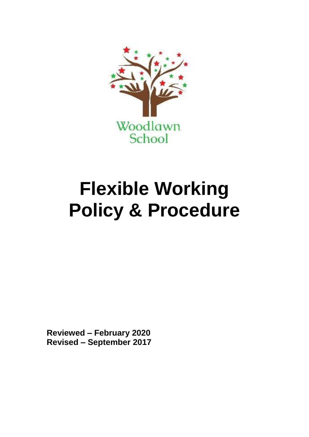

# **Flexible Working Policy & Procedure**

**Reviewed – February 2020 Revised – September 2017**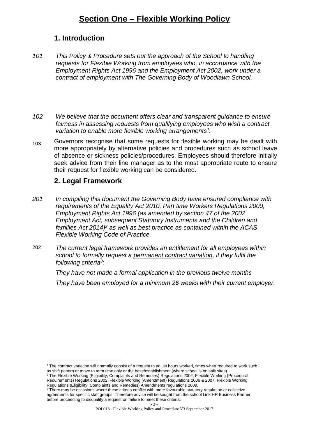# **Section One – Flexible Working Policy**

## **1. Introduction**

- *101 This Policy & Procedure sets out the approach of the School to handling requests for Flexible Working from employees who, in accordance with the Employment Rights Act 1996 and the Employment Act 2002, work under a contract of employment with The Governing Body of Woodlawn School.*
- *102 We believe that the document offers clear and transparent guidance to ensure fairness in assessing requests from qualifying employees who wish a contract variation to enable more flexible working arrangements<sup>1</sup> .*
- 103 Governors recognise that some requests for flexible working may be dealt with more appropriately by alternative policies and procedures such as school leave of absence or sickness policies/procedures. Employees should therefore initially seek advice from their line manager as to the most appropriate route to ensure their request for flexible working can be considered.

## **2. Legal Framework**

1

- *201 In compiling this document the Governing Body have ensured compliance with requirements of the Equality Act 2010, Part time Workers Regulations 2000, Employment Rights Act 1996 (as amended by section 47 of the 2002 Employment Act, subsequent Statutory Instruments and the Children and families Act 2014) <sup>2</sup> as well as best practice as contained within the ACAS Flexible Working Code of Practice.*
- 202 *The current legal framework provides an entitlement for all employees within school to formally request a permanent contract variation, if they fulfil the following criteria<sup>3</sup> :*

*They have not made a formal application in the previous twelve months*

*They have been employed for a minimum 26 weeks with their current employer.* 

<sup>1</sup> The contract variation will normally consist of a request to adjust hours worked, times when required to work such as shift pattern or move to term time only or the base/establishment (where school is on split sites).

<sup>&</sup>lt;sup>2</sup> The Flexible Working (Eligibility, Complaints and Remedies) Regulations 2002; Flexible Working (Procedural Requirements) Regulations 2002; Flexible Working (Amendment) Regulations 2006 & 2007; Flexible Working Regulations (Eligibility, Complaints and Remedies) Amendments regulations 2009.

<sup>&</sup>lt;sup>3</sup> There may be occasions where these criteria conflict with more favourable statutory regulation or collective agreements for specific staff groups. Therefore advice will be sought from the school Link HR Business Partner before proceeding to disqualify a request on failure to meet these criteria.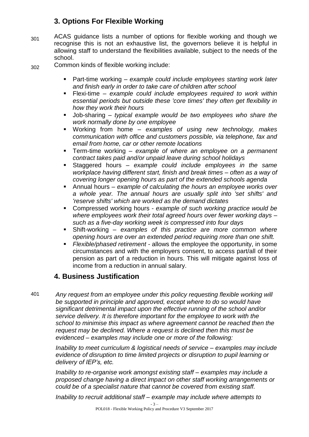# **3. Options For Flexible Working**

301 ACAS guidance lists a number of options for flexible working and though we recognise this is not an exhaustive list, the governors believe it is helpful in allowing staff to understand the flexibilities available, subject to the needs of the school.

302 Common kinds of flexible working include:

- Part-time working *example could include employees starting work later and finish early in order to take care of children after school*
- Flexi-time *example could include employees required to work within essential periods but outside these 'core times' they often get flexibility in how they work their hours*
- Job-sharing *typical example would be two employees who share the work normally done by one employee*
- Working from home *examples of using new technology, makes communication with office and customers possible, via telephone, fax and email from home, car or other remote locations*
- Term-time working *example of where an employee on a permanent contract takes paid and/or unpaid leave during school holidays*
- Staggered hours *example could include employees in the same workplace having different start, finish and break times – often as a way of covering longer opening hours as part of the extended schools agenda*
- Annual hours *example of calculating the hours an employee works over a whole year. The annual hours are usually split into 'set shifts' and 'reserve shifts' which are worked as the demand dictates*
- Compressed working hours *example of such working practice would be where employees work their total agreed hours over fewer working days – such as a five-day working week is compressed into four days*
- Shift-working *examples of this practice are more common where opening hours are over an extended period requiring more than one shift.*
- *Flexible/phased retirement -* allows the employee the opportunity, in some circumstances and with the employers consent, to access part/all of their pension as part of a reduction in hours. This will mitigate against loss of income from a reduction in annual salary.

## **4. Business Justification**

401 *Any request from an employee under this policy requesting flexible working will be supported in principle and approved, except where to do so would have significant detrimental impact upon the effective running of the school and/or service delivery. It is therefore important for the employee to work with the school to minimise this impact as where agreement cannot be reached then the request may be declined. Where a request is declined then this must be evidenced – examples may include one or more of the following:*

> *Inability to meet curriculum & logistical needs of service – examples may include evidence of disruption to time limited projects or disruption to pupil learning or delivery of IEP's, etc.*

> *Inability to re-organise work amongst existing staff – examples may include a proposed change having a direct impact on other staff working arrangements or could be of a specialist nature that cannot be covered from existing staff.*

*Inability to recruit additional staff – example may include where attempts to*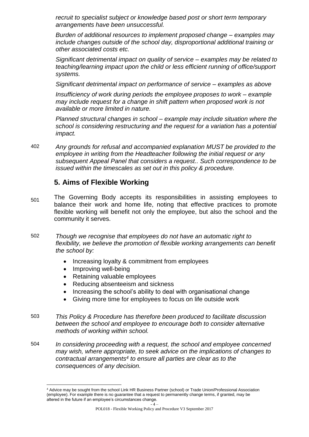*recruit to specialist subject or knowledge based post or short term temporary arrangements have been unsuccessful.*

*Burden of additional resources to implement proposed change – examples may include changes outside of the school day, disproportional additional training or other associated costs etc.* 

*Significant detrimental impact on quality of service – examples may be related to teaching/learning impact upon the child or less efficient running of office/support systems.*

*Significant detrimental impact on performance of service – examples as above* 

*Insufficiency of work during periods the employee proposes to work – example may include request for a change in shift pattern when proposed work is not available or more limited in nature.*

*Planned structural changes in school – example may include situation where the school is considering restructuring and the request for a variation has a potential impact.* 

402 *Any grounds for refusal and accompanied explanation MUST be provided to the employee in writing from the Headteacher following the initial request or any subsequent Appeal Panel that considers a request.. Such correspondence to be issued within the timescales as set out in this policy & procedure.* 

## **5. Aims of Flexible Working**

- <sub>501</sub> The Governing Body accepts its responsibilities in assisting employees to balance their work and home life, noting that effective practices to promote flexible working will benefit not only the employee, but also the school and the community it serves.
- 502 *Though we recognise that employees do not have an automatic right to flexibility, we believe the promotion of flexible working arrangements can benefit the school by:*
	- Increasing loyalty & commitment from employees
	- Improving well-being
	- Retaining valuable employees
	- Reducing absenteeism and sickness
	- Increasing the school's ability to deal with organisational change
	- Giving more time for employees to focus on life outside work
- 503 *This Policy & Procedure has therefore been produced to facilitate discussion between the school and employee to encourage both to consider alternative methods of working within school.*
- 504 *In considering proceeding with a request, the school and employee concerned may wish, where appropriate, to seek advice on the implications of changes to contractual arrangements<sup>4</sup> to ensure all parties are clear as to the consequences of any decision.*

<sup>1</sup> <sup>4</sup> Advice may be sought from the school Link HR Business Partner (school) or Trade Union/Professional Association (employee). For example there is no guarantee that a request to permanently change terms, if granted, may be altered in the future if an employee's circumstances change.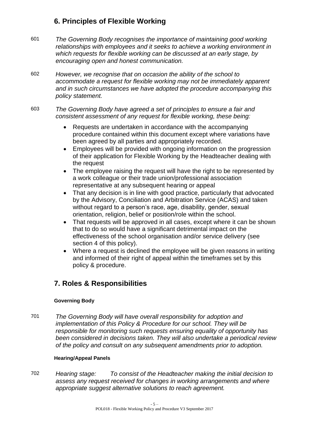# **6. Principles of Flexible Working**

601 *The Governing Body recognises the importance of maintaining good working relationships with employees and it seeks to achieve a working environment in which requests for flexible working can be discussed at an early stage, by encouraging open and honest communication.*

602 *However, we recognise that on occasion the ability of the school to accommodate a request for flexible working may not be immediately apparent and in such circumstances we have adopted the procedure accompanying this policy statement.*

## 603 *The Governing Body have agreed a set of principles to ensure a fair and consistent assessment of any request for flexible working, these being:*

- Requests are undertaken in accordance with the accompanying procedure contained within this document except where variations have been agreed by all parties and appropriately recorded.
- Employees will be provided with ongoing information on the progression of their application for Flexible Working by the Headteacher dealing with the request
- The employee raising the request will have the right to be represented by a work colleague or their trade union/professional association representative at any subsequent hearing or appeal
- That any decision is in line with good practice, particularly that advocated by the Advisory, Conciliation and Arbitration Service (ACAS) and taken without regard to a person's race, age, disability, gender, sexual orientation, religion, belief or position/role within the school.
- That requests will be approved in all cases, except where it can be shown that to do so would have a significant detrimental impact on the effectiveness of the school organisation and/or service delivery (see section 4 of this policy).
- Where a request is declined the employee will be given reasons in writing and informed of their right of appeal within the timeframes set by this policy & procedure.

# **7. Roles & Responsibilities**

## **Governing Body**

701 *The Governing Body will have overall responsibility for adoption and implementation of this Policy & Procedure for our school. They will be responsible for monitoring such requests ensuring equality of opportunity has been considered in decisions taken. They will also undertake a periodical review of the policy and consult on any subsequent amendments prior to adoption.*

## **Hearing/Appeal Panels**

702 *Hearing stage: To consist of the Headteacher making the initial decision to assess any request received for changes in working arrangements and where appropriate suggest alternative solutions to reach agreement.*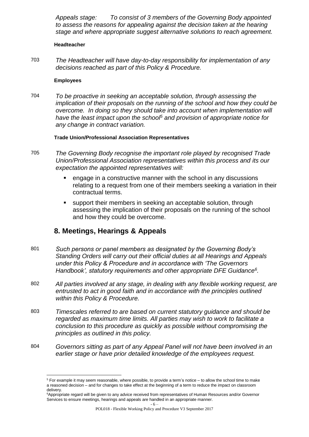*Appeals stage: To consist of 3 members of the Governing Body appointed to assess the reasons for appealing against the decision taken at the hearing stage and where appropriate suggest alternative solutions to reach agreement.*

#### **Headteacher**

703 *The Headteacher will have day-to-day responsibility for implementation of any decisions reached as part of this Policy & Procedure.* 

#### **Employees**

1

704 *To be proactive in seeking an acceptable solution, through assessing the implication of their proposals on the running of the school and how they could be overcome. In doing so they should take into account when implementation will have the least impact upon the school<sup>5</sup> and provision of appropriate notice for any change in contract variation.*

## **Trade Union/Professional Association Representatives**

- 705 *The Governing Body recognise the important role played by recognised Trade Union/Professional Association representatives within this process and its our expectation the appointed representatives will:*
	- **EXECT** engage in a constructive manner with the school in any discussions relating to a request from one of their members seeking a variation in their contractual terms.
	- support their members in seeking an acceptable solution, through assessing the implication of their proposals on the running of the school and how they could be overcome.

## **8. Meetings, Hearings & Appeals**

- 801 *Such persons or panel members as designated by the Governing Body's Standing Orders will carry out their official duties at all Hearings and Appeals under this Policy & Procedure and in accordance with 'The Governors Handbook', statutory requirements and other appropriate DFE Guidance<sup>6</sup> .*
- 802 *All parties involved at any stage, in dealing with any flexible working request, are entrusted to act in good faith and in accordance with the principles outlined within this Policy & Procedure.*
- 803 *Timescales referred to are based on current statutory guidance and should be regarded as maximum time limits. All parties may wish to work to facilitate a conclusion to this procedure as quickly as possible without compromising the principles as outlined in this policy.*
- 804 *Governors sitting as part of any Appeal Panel will not have been involved in an earlier stage or have prior detailed knowledge of the employees request.*

<sup>5</sup> For example it may seem reasonable, where possible, to provide a term's notice – to allow the school time to make a reasoned decision – and for changes to take effect at the beginning of a term to reduce the impact on classroom delivery.

<sup>&</sup>lt;sup>6</sup>Appropriate regard will be given to any advice received from representatives of Human Resources and/or Governor Services to ensure meetings, hearings and appeals are handled in an appropriate manner.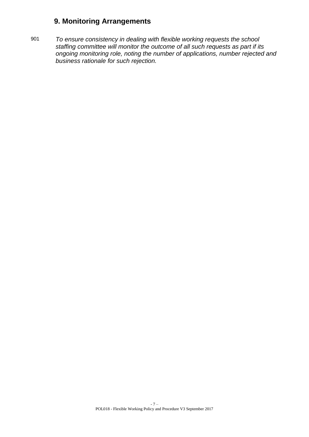# **9. Monitoring Arrangements**

901 *To ensure consistency in dealing with flexible working requests the school staffing committee will monitor the outcome of all such requests as part if its ongoing monitoring role, noting the number of applications, number rejected and business rationale for such rejection.*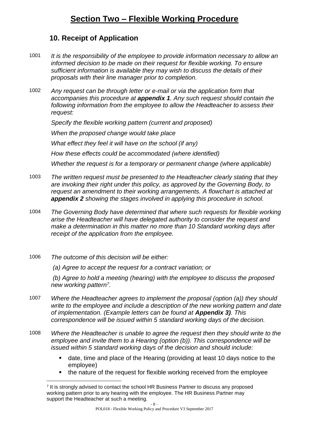# **Section Two – Flexible Working Procedure**

## **10. Receipt of Application**

- 1001 *It is the responsibility of the employee to provide information necessary to allow an informed decision to be made on their request for flexible working. To ensure sufficient information is available they may wish to discuss the details of their proposals with their line manager prior to completion.*
- 1002 *Any request can be through letter or e-mail or via the application form that accompanies this procedure at appendix 1. Any such request should contain the following information from the employee to allow the Headteacher to assess their request:*

*Specify the flexible working pattern (current and proposed)*

*When the proposed change would take place*

*What effect they feel it will have on the school (if any)*

*How these effects could be accommodated (where identified)* 

*Whether the request is for a temporary or permanent change (where applicable)*

- 1003 *The written request must be presented to the Headteacher clearly stating that they are invoking their right under this policy, as approved by the Governing Body, to request an amendment to their working arrangements. A flowchart is attached at appendix 2 showing the stages involved in applying this procedure in school.*
- 1004 *The Governing Body have determined that where such requests for flexible working arise the Headteacher will have delegated authority to consider the request and make a determination in this matter no more than 10 Standard working days after receipt of the application from the employee.*
- 1006 *The outcome of this decision will be either:*

*(a) Agree to accept the request for a contract variation; or* 

*(b) Agree to hold a meeting (hearing) with the employee to discuss the proposed new working pattern<sup>7</sup> .*

- 1007 *Where the Headteacher agrees to implement the proposal (option (a)) they should write to the employee and include a description of the new working pattern and date of implementation. (Example letters can be found at Appendix 3). This correspondence will be issued within 5 standard working days of the decision.*
- 1008 *Where the Headteacher is unable to agree the request then they should write to the employee and invite them to a Hearing (option (b)). This correspondence will be issued within 5 standard working days of the decision and should include:* 
	- date, time and place of the Hearing (providing at least 10 days notice to the employee)
	- **the nature of the request for flexible working received from the employee**

<sup>-</sup> 8 – <u>.</u> 7 It is strongly advised to contact the school HR Business Partner to discuss any proposed working pattern prior to any hearing with the employee. The HR Business Partner may support the Headteacher at such a meeting.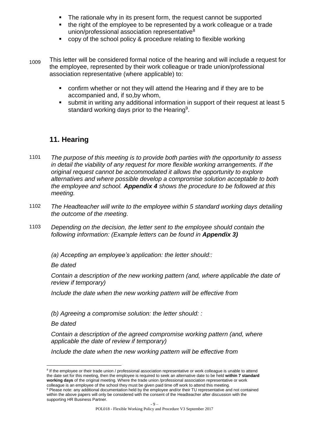- The rationale why in its present form, the request cannot be supported
- the right of the employee to be represented by a work colleague or a trade union/professional association representative<sup>8</sup>
- copy of the school policy & procedure relating to flexible working
- <sub>1009</sub> This letter will be considered formal notice of the hearing and will include a request for the employee, represented by their work colleague or trade union/professional association representative (where applicable) to:
	- confirm whether or not they will attend the Hearing and if they are to be accompanied and, if so,by whom,
	- submit in writing any additional information in support of their request at least 5 standard working days prior to the Hearing<sup>9</sup>.

# **11. Hearing**

- 1101 *The purpose of this meeting is to provide both parties with the opportunity to assess in detail the viability of any request for more flexible working arrangements. If the original request cannot be accommodated it allows the opportunity to explore alternatives and where possible develop a compromise solution acceptable to both the employee and school. Appendix 4 shows the procedure to be followed at this meeting.*
- 1102 *The Headteacher will write to the employee within 5 standard working days detailing the outcome of the meeting.*
- 1103 *Depending on the decision, the letter sent to the employee should contain the following information: (Example letters can be found in Appendix 3)*

*(a) Accepting an employee's application: the letter should::*

*Be dated*

*Contain a description of the new working pattern (and, where applicable the date of review if temporary)*

*Include the date when the new working pattern will be effective from*

*(b) Agreeing a compromise solution: the letter should: :*

*Be dated*

1

*Contain a description of the agreed compromise working pattern (and, where applicable the date of review if temporary)*

*Include the date when the new working pattern will be effective from*

<sup>&</sup>lt;sup>8</sup> If the employee or their trade union / professional association representative or work colleague is unable to attend the date set for this meeting, then the employee is required to seek an alternative date to be held **within 7 standard working days** of the original meeting. Where the trade union /professional association representative or work

colleague is an employee of the school they must be given paid time off work to attend this meeting. <sup>9</sup> Please note: any additional documentation held by the employee and/or their TU representative and not contained within the above papers will only be considered with the consent of the Headteacher after discussion with the supporting HR Business Partner.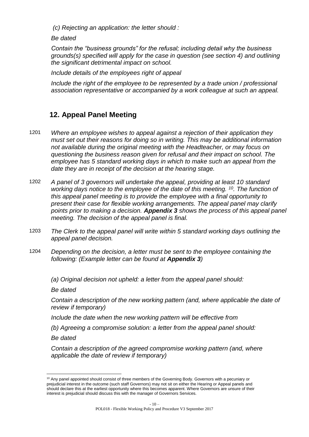*(c) Rejecting an application: the letter should :*

*Be dated*

*Contain the "business grounds" for the refusal; including detail why the business grounds(s) specified will apply for the case in question (see section 4) and outlining the significant detrimental impact on school.* 

*Include details of the employees right of appeal* 

*Include the right of the employee to be represented by a trade union / professional association representative or accompanied by a work colleague at such an appeal.*

# **12. Appeal Panel Meeting**

- 1201 *Where an employee wishes to appeal against a rejection of their application they must set out their reasons for doing so in writing. This may be additional information not available during the original meeting with the Headteacher, or may focus on questioning the business reason given for refusal and their impact on school. The employee has 5 standard working days in which to make such an appeal from the date they are in receipt of the decision at the hearing stage.*
- 1202 *A panel of 3 governors will undertake the appeal, providing at least 10 standard working days notice to the employee of the date of this meeting. <sup>10</sup>. The function of this appeal panel meeting is to provide the employee with a final opportunity to present their case for flexible working arrangements. The appeal panel may clarify points prior to making a decision. Appendix 3 shows the process of this appeal panel meeting. The decision of the appeal panel is final.*
- 1203 *The Clerk to the appeal panel will write within 5 standard working days outlining the appeal panel decision.*
- 1204 *Depending on the decision, a letter must be sent to the employee containing the following: (Example letter can be found at Appendix 3)*
	- *(a) Original decision not upheld: a letter from the appeal panel should:*

*Be dated*

*Contain a description of the new working pattern (and, where applicable the date of review if temporary)*

*Include the date when the new working pattern will be effective from* 

*(b) Agreeing a compromise solution: a letter from the appeal panel should:*

*Be dated*

<u>.</u>

*Contain a description of the agreed compromise working pattern (and, where applicable the date of review if temporary)*

<sup>&</sup>lt;sup>10</sup> Any panel appointed should consist of three members of the Governing Body. Governors with a pecuniary or prejudicial interest in the outcome (such staff Governors) may not sit on either the Hearing or Appeal panels and should declare this at the earliest opportunity where this becomes apparent. Where Governors are unsure of their interest is prejudicial should discuss this with the manager of Governors Services.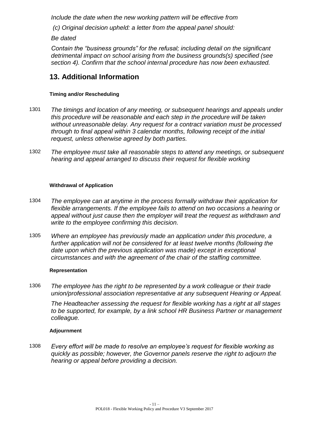*Include the date when the new working pattern will be effective from* 

*(c) Original decision upheld: a letter from the appeal panel should:*

*Be dated*

*Contain the "business grounds" for the refusal; including detail on the significant detrimental impact on school arising from the business grounds(s) specified (see section 4). Confirm that the school internal procedure has now been exhausted.*

# **13. Additional Information**

## **Timing and/or Rescheduling**

- 1301 *The timings and location of any meeting, or subsequent hearings and appeals under this procedure will be reasonable and each step in the procedure will be taken without unreasonable delay. Any request for a contract variation must be processed through to final appeal within 3 calendar months, following receipt of the initial request, unless otherwise agreed by both parties.*
- 1302 *The employee must take all reasonable steps to attend any meetings, or subsequent hearing and appeal arranged to discuss their request for flexible working*

## **Withdrawal of Application**

- 1304 *The employee can at anytime in the process formally withdraw their application for flexible arrangements. If the employee fails to attend on two occasions a hearing or appeal without just cause then the employer will treat the request as withdrawn and write to the employee confirming this decision.*
- 1305 *Where an employee has previously made an application under this procedure, a*  further application will not be considered for at least twelve months (following the *date upon which the previous application was made) except in exceptional circumstances and with the agreement of the chair of the staffing committee.*

## **Representation**

1306 *The employee has the right to be represented by a work colleague or their trade union/professional association representative at any subsequent Hearing or Appeal.*

*The Headteacher assessing the request for flexible working has a right at all stages to be supported, for example, by a link school HR Business Partner or management colleague.*

## **Adjournment**

1308 *Every effort will be made to resolve an employee's request for flexible working as quickly as possible; however, the Governor panels reserve the right to adjourn the hearing or appeal before providing a decision.*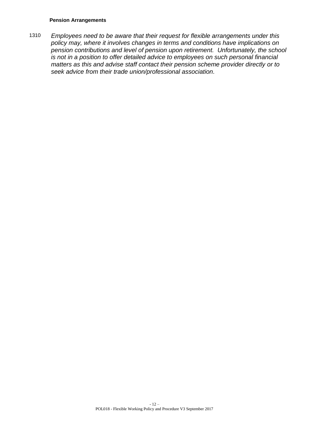#### **Pension Arrangements**

1310 *Employees need to be aware that their request for flexible arrangements under this policy may, where it involves changes in terms and conditions have implications on pension contributions and level of pension upon retirement. Unfortunately, the school is not in a position to offer detailed advice to employees on such personal financial matters as this and advise staff contact their pension scheme provider directly or to seek advice from their trade union/professional association.*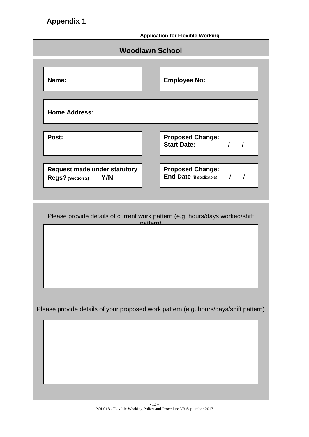**Application for Flexible Working**

| <b>Application for Fiexible Working</b> |                                                                                      |          |                                                            |          |               |  |  |  |  |
|-----------------------------------------|--------------------------------------------------------------------------------------|----------|------------------------------------------------------------|----------|---------------|--|--|--|--|
| <b>Woodlawn School</b>                  |                                                                                      |          |                                                            |          |               |  |  |  |  |
|                                         | Name:                                                                                |          | <b>Employee No:</b>                                        |          |               |  |  |  |  |
|                                         | <b>Home Address:</b>                                                                 |          |                                                            |          |               |  |  |  |  |
|                                         | Post:                                                                                |          | <b>Proposed Change:</b><br><b>Start Date:</b>              | $\prime$ | $\prime$      |  |  |  |  |
|                                         | <b>Request made under statutory</b><br>Y/N<br>Regs? (Section 2)                      |          | <b>Proposed Change:</b><br><b>End Date</b> (if applicable) |          | $\frac{1}{2}$ |  |  |  |  |
|                                         |                                                                                      |          |                                                            |          |               |  |  |  |  |
|                                         | Please provide details of current work pattern (e.g. hours/days worked/shift         | nattern) |                                                            |          |               |  |  |  |  |
|                                         | Please provide details of your proposed work pattern (e.g. hours/days/shift pattern) |          |                                                            |          |               |  |  |  |  |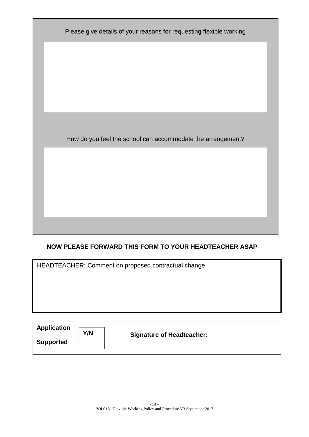| Please give details of your reasons for requesting flexible working |
|---------------------------------------------------------------------|
|                                                                     |
|                                                                     |
|                                                                     |
|                                                                     |
| How do you feel the school can accommodate the arrangement?         |
|                                                                     |
|                                                                     |
|                                                                     |
|                                                                     |

## **NOW PLEASE FORWARD THIS FORM TO YOUR HEADTEACHER ASAP**

HEADTEACHER: Comment on proposed contractual change

| <b>Application</b><br>Y/N<br><b>Supported</b> | <b>Signature of Headteacher:</b> |
|-----------------------------------------------|----------------------------------|
|-----------------------------------------------|----------------------------------|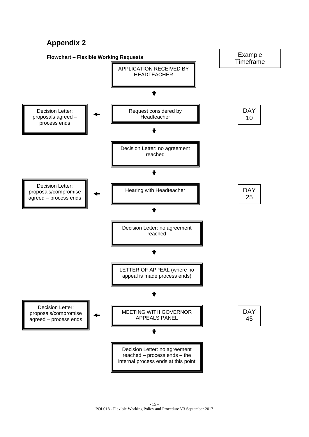# **Appendix 2**

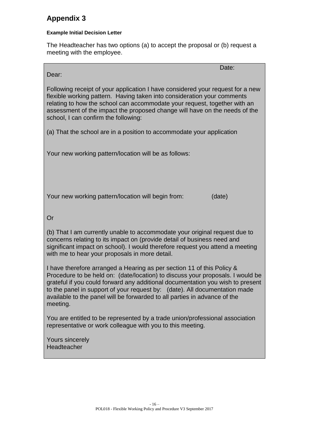# **Appendix 3**

## **Example Initial Decision Letter**

The Headteacher has two options (a) to accept the proposal or (b) request a meeting with the employee.

de la construcción de la construcción de la construcción de la construcción de la <mark>Date:</mark> Dear:

Following receipt of your application I have considered your request for a new flexible working pattern. Having taken into consideration your comments relating to how the school can accommodate your request, together with an assessment of the impact the proposed change will have on the needs of the school, I can confirm the following:

(a) That the school are in a position to accommodate your application

Your new working pattern/location will be as follows:

Your new working pattern/location will begin from: (date)

Or

(b) That I am currently unable to accommodate your original request due to concerns relating to its impact on (provide detail of business need and significant impact on school). I would therefore request you attend a meeting with me to hear your proposals in more detail.

I have therefore arranged a Hearing as per section 11 of this Policy & Procedure to be held on: (date/location) to discuss your proposals. I would be grateful if you could forward any additional documentation you wish to present to the panel in support of your request by: (date). All documentation made available to the panel will be forwarded to all parties in advance of the meeting.

You are entitled to be represented by a trade union/professional association representative or work colleague with you to this meeting.

Yours sincerely **Headteacher**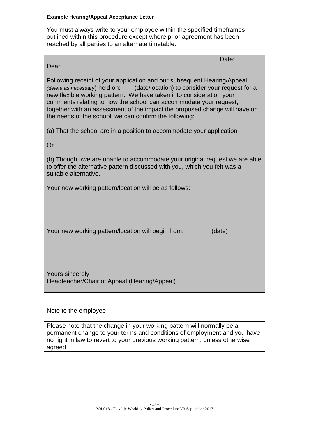#### **Example Hearing/Appeal Acceptance Letter**

You must always write to your employee within the specified timeframes outlined within this procedure except where prior agreement has been reached by all parties to an alternate timetable.

| Date:<br>Dear:                                                                                                                                                                                                                                                                                                                                                                                                                                  |  |  |  |  |  |  |
|-------------------------------------------------------------------------------------------------------------------------------------------------------------------------------------------------------------------------------------------------------------------------------------------------------------------------------------------------------------------------------------------------------------------------------------------------|--|--|--|--|--|--|
| Following receipt of your application and our subsequent Hearing/Appeal<br>(date/location) to consider your request for a<br>(delete as necessary) held on:<br>new flexible working pattern. We have taken into consideration your<br>comments relating to how the school can accommodate your request,<br>together with an assessment of the impact the proposed change will have on<br>the needs of the school, we can confirm the following: |  |  |  |  |  |  |
| (a) That the school are in a position to accommodate your application                                                                                                                                                                                                                                                                                                                                                                           |  |  |  |  |  |  |
| Or                                                                                                                                                                                                                                                                                                                                                                                                                                              |  |  |  |  |  |  |
| (b) Though I/we are unable to accommodate your original request we are able<br>to offer the alternative pattern discussed with you, which you felt was a<br>suitable alternative.                                                                                                                                                                                                                                                               |  |  |  |  |  |  |
| Your new working pattern/location will be as follows:                                                                                                                                                                                                                                                                                                                                                                                           |  |  |  |  |  |  |
| Your new working pattern/location will begin from:<br>(date)                                                                                                                                                                                                                                                                                                                                                                                    |  |  |  |  |  |  |
| <b>Yours sincerely</b><br>Headteacher/Chair of Appeal (Hearing/Appeal)                                                                                                                                                                                                                                                                                                                                                                          |  |  |  |  |  |  |

## Note to the employee

Please note that the change in your working pattern will normally be a permanent change to your terms and conditions of employment and you have no right in law to revert to your previous working pattern, unless otherwise agreed.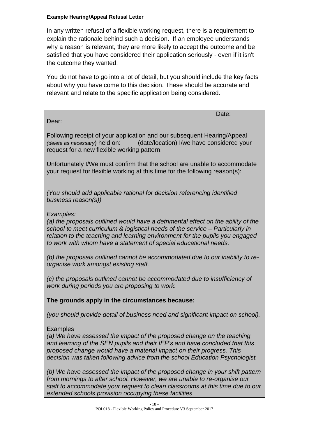## **Example Hearing/Appeal Refusal Letter**

In any written refusal of a flexible working request, there is a requirement to explain the rationale behind such a decision. If an employee understands why a reason is relevant, they are more likely to accept the outcome and be satisfied that you have considered their application seriously - even if it isn't the outcome they wanted.

You do not have to go into a lot of detail, but you should include the key facts about why you have come to this decision. These should be accurate and relevant and relate to the specific application being considered.

Date:

Dear:

Following receipt of your application and our subsequent Hearing/Appeal *(delete as necessary*) held on: (date/location) I/we have considered your request for a new flexible working pattern.

Unfortunately I/We must confirm that the school are unable to accommodate your request for flexible working at this time for the following reason(s):

*(You should add applicable rational for decision referencing identified business reason(s))*

## *Examples:*

*(a) the proposals outlined would have a detrimental effect on the ability of the school to meet curriculum & logistical needs of the service – Particularly in relation to the teaching and learning environment for the pupils you engaged to work with whom have a statement of special educational needs.* 

*(b) the proposals outlined cannot be accommodated due to our inability to reorganise work amongst existing staff.*

*(c) the proposals outlined cannot be accommodated due to insufficiency of work during periods you are proposing to work.*

**The grounds apply in the circumstances because:**

*(you should provide detail of business need and significant impact on school).*

**Examples** 

*(a) We have assessed the impact of the proposed change on the teaching and learning of the SEN pupils and their IEP's and have concluded that this proposed change would have a material impact on their progress. This decision was taken following advice from the school Education Psychologist.*

*(b) We have assessed the impact of the proposed change in your shift pattern from mornings to after school. However, we are unable to re-organise our staff to accommodate your request to clean classrooms at this time due to our extended schools provision occupying these facilities*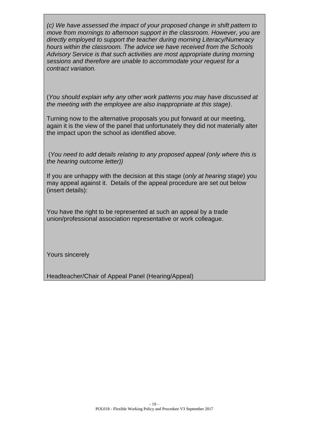*(c) We have assessed the impact of your proposed change in shift pattern to move from mornings to afternoon support in the classroom. However, you are directly employed to support the teacher during morning Literacy/Numeracy hours within the classroom. The advice we have received from the Schools Advisory Service is that such activities are most appropriate during morning sessions and therefore are unable to accommodate your request for a contract variation.*

(*You should explain why any other work patterns you may have discussed at the meeting with the employee are also inappropriate at this stage)*.

Turning now to the alternative proposals you put forward at our meeting, again it is the view of the panel that unfortunately they did not materially alter the impact upon the school as identified above.

(*You need to add details relating to any proposed appeal (only where this is the hearing outcome letter))*

If you are unhappy with the decision at this stage (*only at hearing stage*) you may appeal against it. Details of the appeal procedure are set out below (insert details):

You have the right to be represented at such an appeal by a trade union/professional association representative or work colleague.

Yours sincerely

Headteacher/Chair of Appeal Panel (Hearing/Appeal)